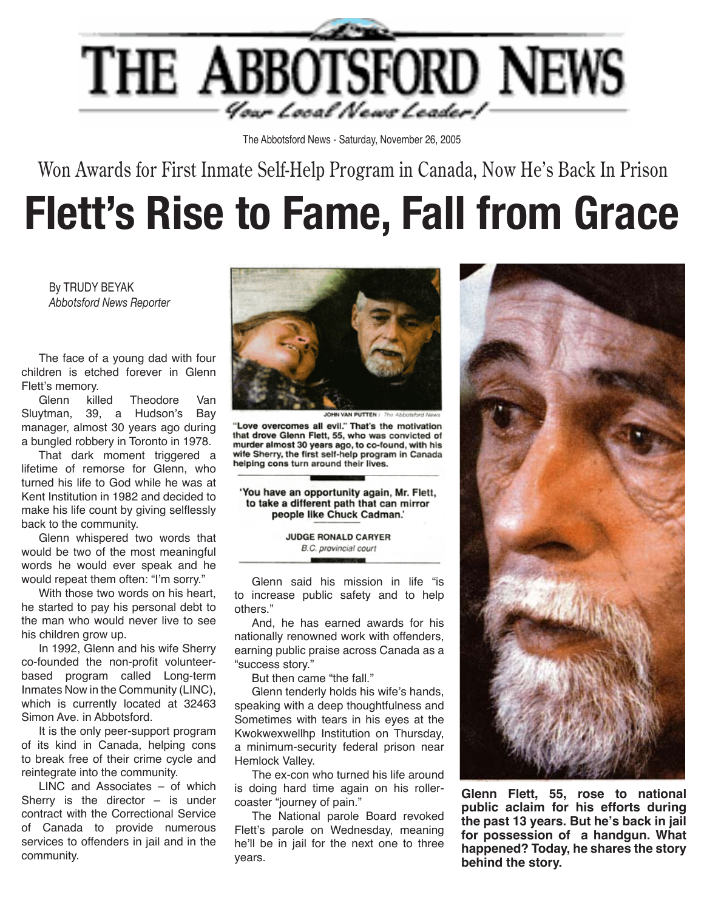

The Abbotsford News - Saturday, November 26, 2005

Won Awards for First Inmate Self-Help Program in Canada, Now He's Back In Prison

## **Flett's Rise to Fame, Fall from Grace**

By TRUDY BEYAK *Abbotsford News Reporter*

 The face of a young dad with four children is etched forever in Glenn Flett's memory.

 Glenn killed Theodore Van Sluytman, 39, a Hudson's Bay manager, almost 30 years ago during a bungled robbery in Toronto in 1978.

 That dark moment triggered a lifetime of remorse for Glenn, who turned his life to God while he was at Kent Institution in 1982 and decided to make his life count by giving selflessly back to the community.

 Glenn whispered two words that would be two of the most meaningful words he would ever speak and he would repeat them often: "I'm sorry."

 With those two words on his heart, he started to pay his personal debt to the man who would never live to see his children grow up.

 In 1992, Glenn and his wife Sherry co-founded the non-profit volunteerbased program called Long-term Inmates Now in the Community (LINC), which is currently located at 32463 Simon Ave. in Abbotsford.

 It is the only peer-support program of its kind in Canada, helping cons to break free of their crime cycle and reintegrate into the community.

 LINC and Associates – of which Sherry is the director  $-$  is under contract with the Correctional Service of Canada to provide numerous services to offenders in jail and in the community.



"Love overcomes all evil." That's the motivation that drove Glenn Flett, 55, who was convicted of murder almost 30 years ago, to co-found, with his wife Sherry, the first self-help program in Canada helping cons turn around their lives.

'You have an opportunity again, Mr. Flett, to take a different path that can mirror people like Chuck Cadman.'

> JUDGE RONALD CARYER B.C. provincial court

 Glenn said his mission in life "is to increase public safety and to help others."

 And, he has earned awards for his nationally renowned work with offenders, earning public praise across Canada as a "success story."

 But then came "the fall."

 Glenn tenderly holds his wife's hands, speaking with a deep thoughtfulness and Sometimes with tears in his eyes at the Kwokwexwellhp Institution on Thursday, a minimum-security federal prison near Hemlock Valley.

 The ex-con who turned his life around is doing hard time again on his rollercoaster "journey of pain."

 The National parole Board revoked Flett's parole on Wednesday, meaning he'll be in jail for the next one to three years.



**Glenn Flett, 55, rose to national public aclaim for his efforts during the past 13 years. But he's back in jail for possession of a handgun. What happened? Today, he shares the story behind the story.**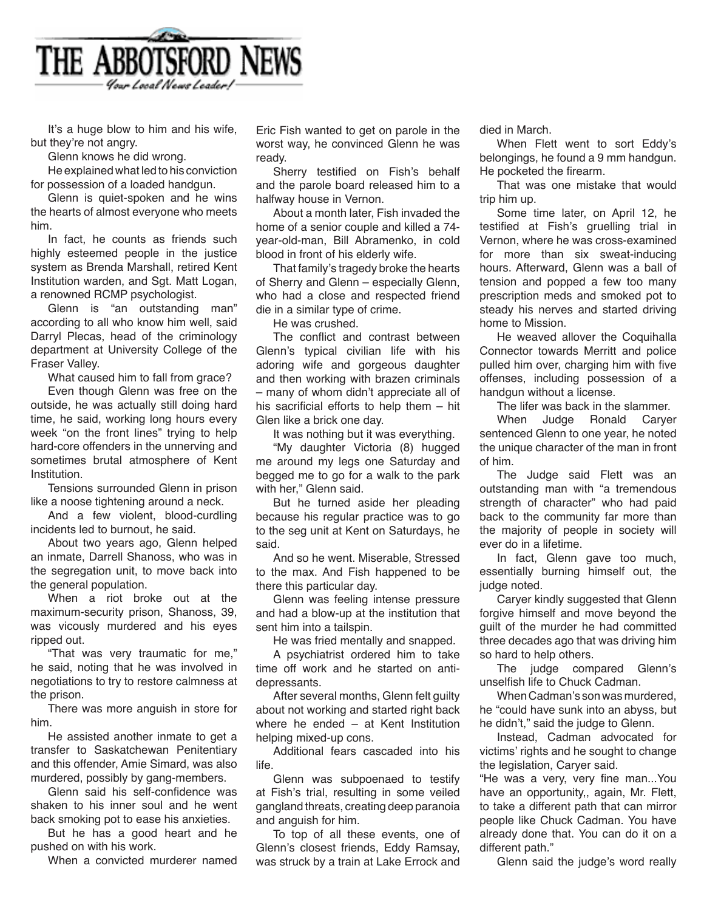

 It's a huge blow to him and his wife, but they're not angry.

 Glenn knows he did wrong.

 He explained what led to his conviction for possession of a loaded handgun.

 Glenn is quiet-spoken and he wins the hearts of almost everyone who meets him.

 In fact, he counts as friends such highly esteemed people in the justice system as Brenda Marshall, retired Kent Institution warden, and Sgt. Matt Logan, a renowned RCMP psychologist.

 Glenn is "an outstanding man" according to all who know him well, said Darryl Plecas, head of the criminology department at University College of the Fraser Valley.

 What caused him to fall from grace?

 Even though Glenn was free on the outside, he was actually still doing hard time, he said, working long hours every week "on the front lines" trying to help hard-core offenders in the unnerving and sometimes brutal atmosphere of Kent Institution.

 Tensions surrounded Glenn in prison like a noose tightening around a neck.

 And a few violent, blood-curdling incidents led to burnout, he said.

 About two years ago, Glenn helped an inmate, Darrell Shanoss, who was in the segregation unit, to move back into the general population.

 When a riot broke out at the maximum-security prison, Shanoss, 39, was vicously murdered and his eyes ripped out.

 "That was very traumatic for me," he said, noting that he was involved in negotiations to try to restore calmness at the prison.

 There was more anguish in store for him.

 He assisted another inmate to get a transfer to Saskatchewan Penitentiary and this offender, Amie Simard, was also murdered, possibly by gang-members.

Glenn said his self-confidence was shaken to his inner soul and he went back smoking pot to ease his anxieties.

 But he has a good heart and he pushed on with his work.

 When a convicted murderer named

Eric Fish wanted to get on parole in the worst way, he convinced Glenn he was ready.

Sherry testified on Fish's behalf and the parole board released him to a halfway house in Vernon.

 About a month later, Fish invaded the home of a senior couple and killed a 74 year-old-man, Bill Abramenko, in cold blood in front of his elderly wife.

 That family's tragedy broke the hearts of Sherry and Glenn – especially Glenn, who had a close and respected friend die in a similar type of crime.

 He was crushed.

The conflict and contrast between Glenn's typical civilian life with his adoring wife and gorgeous daughter and then working with brazen criminals – many of whom didn't appreciate all of his sacrificial efforts to help them – hit Glen like a brick one day.

 It was nothing but it was everything.

 "My daughter Victoria (8) hugged me around my legs one Saturday and begged me to go for a walk to the park with her," Glenn said.

 But he turned aside her pleading because his regular practice was to go to the seg unit at Kent on Saturdays, he said.

 And so he went. Miserable, Stressed to the max. And Fish happened to be there this particular day.

 Glenn was feeling intense pressure and had a blow-up at the institution that sent him into a tailspin.

 He was fried mentally and snapped.

 A psychiatrist ordered him to take time off work and he started on antidepressants.

 After several months, Glenn felt guilty about not working and started right back where he ended – at Kent Institution helping mixed-up cons.

 Additional fears cascaded into his life.

 Glenn was subpoenaed to testify at Fish's trial, resulting in some veiled gangland threats, creating deep paranoia and anguish for him.

 To top of all these events, one of Glenn's closest friends, Eddy Ramsay, was struck by a train at Lake Errock and died in March.

 When Flett went to sort Eddy's belongings, he found a 9 mm handgun. He pocketed the firearm.

 That was one mistake that would trip him up.

 Some time later, on April 12, he testified at Fish's gruelling trial in Vernon, where he was cross-examined for more than six sweat-inducing hours. Afterward, Glenn was a ball of tension and popped a few too many prescription meds and smoked pot to steady his nerves and started driving home to Mission.

 He weaved allover the Coquihalla Connector towards Merritt and police pulled him over, charging him with five offenses, including possession of a handgun without a license.

 The lifer was back in the slammer.

 When Judge Ronald Caryer sentenced Glenn to one year, he noted the unique character of the man in front of him.

 The Judge said Flett was an outstanding man with "a tremendous strength of character" who had paid back to the community far more than the majority of people in society will ever do in a lifetime.

 In fact, Glenn gave too much, essentially burning himself out, the judge noted.

 Caryer kindly suggested that Glenn forgive himself and move beyond the guilt of the murder he had committed three decades ago that was driving him so hard to help others.

The judge compared Glenn's unselfish life to Chuck Cadman.

When Cadman's son was murdered. he "could have sunk into an abyss, but he didn't," said the judge to Glenn.

 Instead, Cadman advocated for victims' rights and he sought to change the legislation, Caryer said.

"He was a very, very fine man...You have an opportunity, again, Mr. Flett, to take a different path that can mirror people like Chuck Cadman. You have already done that. You can do it on a different path."

 Glenn said the judge's word really